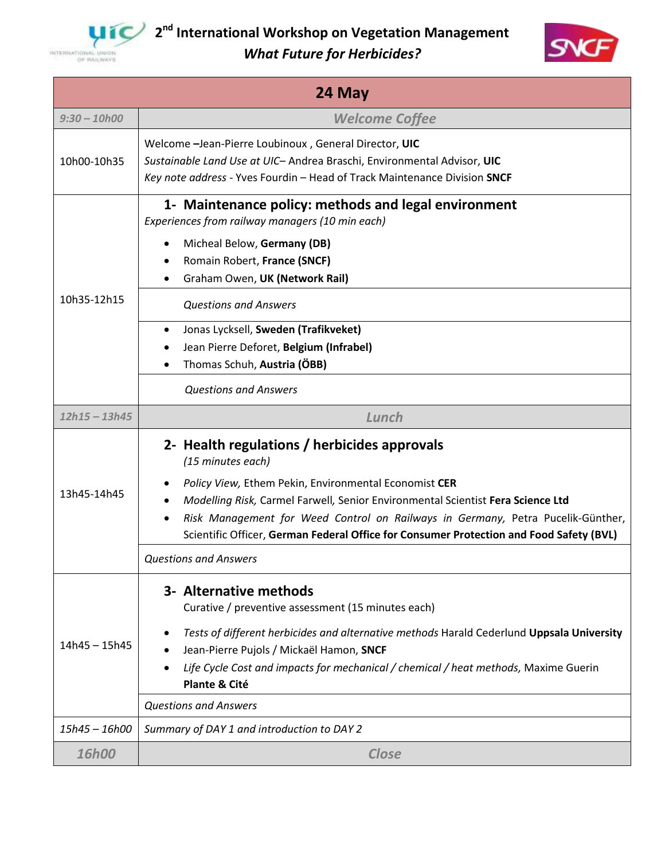

**2 nd International Workshop on Vegetation Management** *What Future for Herbicides?*



| 24 May          |                                                                                                                                                                                                                                                                                                                                                                                                  |
|-----------------|--------------------------------------------------------------------------------------------------------------------------------------------------------------------------------------------------------------------------------------------------------------------------------------------------------------------------------------------------------------------------------------------------|
| $9:30 - 10h00$  | <b>Welcome Coffee</b>                                                                                                                                                                                                                                                                                                                                                                            |
| 10h00-10h35     | Welcome -Jean-Pierre Loubinoux, General Director, UIC<br>Sustainable Land Use at UIC- Andrea Braschi, Environmental Advisor, UIC<br>Key note address - Yves Fourdin - Head of Track Maintenance Division SNCF                                                                                                                                                                                    |
| 10h35-12h15     | 1- Maintenance policy: methods and legal environment<br>Experiences from railway managers (10 min each)<br>Micheal Below, Germany (DB)<br>$\bullet$<br>Romain Robert, France (SNCF)<br>Graham Owen, UK (Network Rail)<br><b>Questions and Answers</b>                                                                                                                                            |
|                 | Jonas Lycksell, Sweden (Trafikveket)<br>٠<br>Jean Pierre Deforet, Belgium (Infrabel)<br>Thomas Schuh, Austria (ÖBB)                                                                                                                                                                                                                                                                              |
|                 | <b>Questions and Answers</b>                                                                                                                                                                                                                                                                                                                                                                     |
| $12h15 - 13h45$ | Lunch                                                                                                                                                                                                                                                                                                                                                                                            |
| 13h45-14h45     | 2- Health regulations / herbicides approvals<br>(15 minutes each)<br>Policy View, Ethem Pekin, Environmental Economist CER<br>٠<br>Modelling Risk, Carmel Farwell, Senior Environmental Scientist Fera Science Ltd<br>Risk Management for Weed Control on Railways in Germany, Petra Pucelik-Günther,<br>Scientific Officer, German Federal Office for Consumer Protection and Food Safety (BVL) |
|                 | <b>Questions and Answers</b>                                                                                                                                                                                                                                                                                                                                                                     |
| $14h45 - 15h45$ | 3- Alternative methods<br>Curative / preventive assessment (15 minutes each)<br>Tests of different herbicides and alternative methods Harald Cederlund Uppsala University<br>٠<br>Jean-Pierre Pujols / Mickaël Hamon, SNCF<br>Life Cycle Cost and impacts for mechanical / chemical / heat methods, Maxime Guerin<br>Plante & Cité                                                               |
|                 | <b>Questions and Answers</b>                                                                                                                                                                                                                                                                                                                                                                     |
| 15h45 - 16h00   | Summary of DAY 1 and introduction to DAY 2                                                                                                                                                                                                                                                                                                                                                       |
| 16h00           | Close                                                                                                                                                                                                                                                                                                                                                                                            |